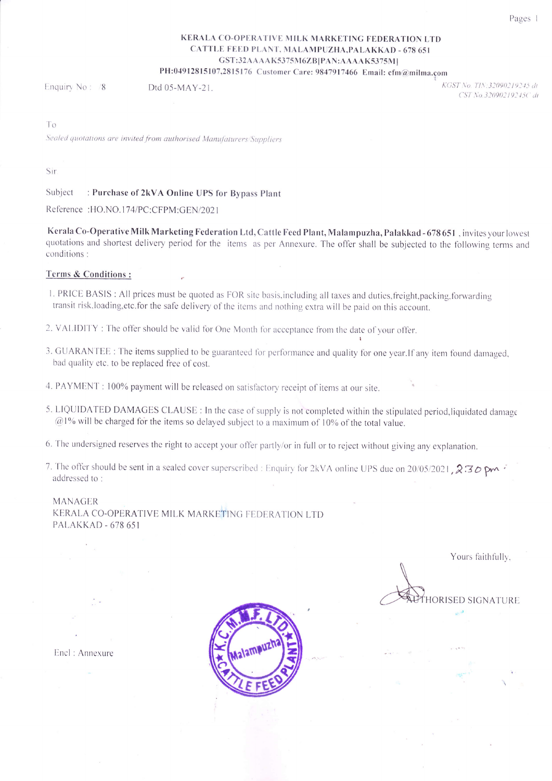## KERALA CO-OPERATIVE MILK MARKETING FEDERATION LTD CATTLE FEED PLANT, MALAMPUZHA,PALAKKAD - 678 651 GST:32AAAAK5375M6ZB|PAN:AAAAK5375MI PH:04912815107,2815176 Customer Care: 9847917466 Email: cfm@milma.com

Enquiry No :  $/8$  Dtd 05-MAY-21.

KGST No. TIN:32090219245 dt CST No.32090219245C dt

l'o

Sealed quotations are invited from authorised Manufaturers/Suppliers

Sir

Subject : Purchase of 2kVA Online UPS for Bypass Plant

Reference : HO.NO. I 74lPC:CFPM:GEN/202 <sup>I</sup>

Kerala Co-Operative Milk Marketing Federation Ltd, Cattle Feed Plant, Malampuzha, Palakkad - 678 651,invites your lowes quotations and shortest delivery period for the items as per Annexure. The offer shall be subjected to the following terms and conditions :

## Terms & Conditions :

- 1. PRICE BASIS : All prices must be quoted as FOR site basis, including all taxes and duties, freight, packing, forwarding transit risk.loading,etc.for the safe delivery of the items and nothinq extra will be paid on this account.
- 2. VALIDITY : The offer should be valid for One Month for acceptance from the date of your offer.
- 3. GUARANTEE : The items supplied to be guaranteed for performance and quality for one year.If any item found damaged, bad quality etc. to be replaced free of cost.
- 4. PAYMENT : 100% payment will be released on satisfactory receipt of items at our site.
- 5. LIQUIDATED DAMAGES CLAUSE : In the case of supply is not completed within the stipulated period, liquidated damage  $@1%$  will be charged for the items so delayed subject to a maximum of 10% of the total value.
- 6. The undersigned reserves the right to accept your offer partly/or in full or to reject without giving any explanation.
- 7. The offer should be sent in a sealed cover superscribed : Enquiry for 2kVA online UPS due on 20/05/2021,  $2.30$  pm  $\cdot$  addressed to :

MANAGER KERALA CO-OPERATIVE MILK MARKETING FEDERATION LTD PALAKKAD - 678 65 <sup>I</sup>

Yours faithfully,

**HORISED SIGNATURE** 

Encl : Annexure